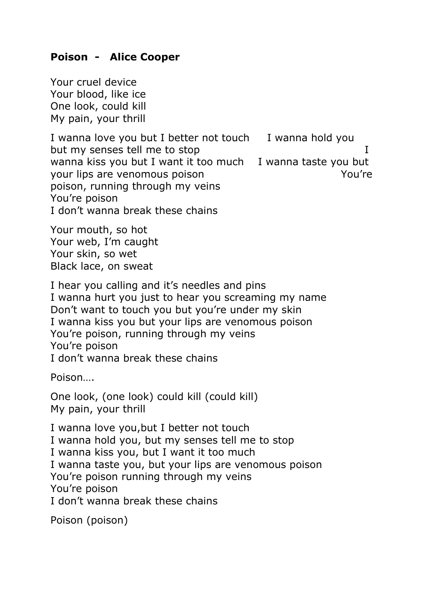## **Poison - Alice Cooper**

Your cruel device Your blood, like ice One look, could kill My pain, your thrill

I wanna love you but I better not touch I wanna hold you but my senses tell me to stop I wanna kiss you but I want it too much I wanna taste you but your lips are venomous poison and the You're You're poison, running through my veins You're poison I don't wanna break these chains

Your mouth, so hot Your web, I'm caught Your skin, so wet Black lace, on sweat

I hear you calling and it's needles and pins I wanna hurt you just to hear you screaming my name Don't want to touch you but you're under my skin I wanna kiss you but your lips are venomous poison You're poison, running through my veins You're poison I don't wanna break these chains

Poison….

One look, (one look) could kill (could kill) My pain, your thrill

I wanna love you,but I better not touch I wanna hold you, but my senses tell me to stop I wanna kiss you, but I want it too much I wanna taste you, but your lips are venomous poison You're poison running through my veins You're poison I don't wanna break these chains

Poison (poison)